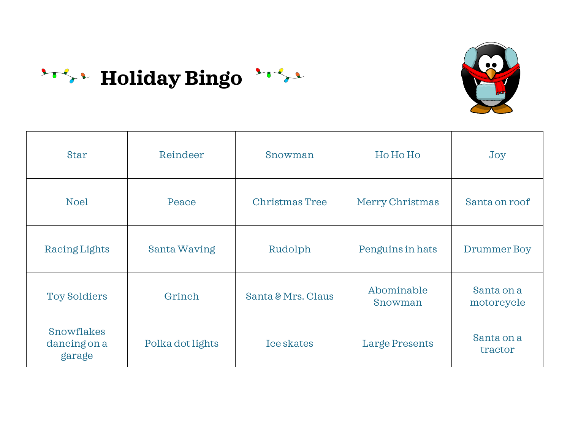

| <b>Star</b>                          | Reindeer            | Snowman               | Ho Ho Ho              | Joy                      |
|--------------------------------------|---------------------|-----------------------|-----------------------|--------------------------|
| <b>Noel</b>                          | Peace               | <b>Christmas Tree</b> | Merry Christmas       | Santa on roof            |
| Racing Lights                        | <b>Santa Waving</b> | Rudolph               | Penguins in hats      | Drummer Boy              |
| <b>Toy Soldiers</b>                  | Grinch              | Santa & Mrs. Claus    | Abominable<br>Snowman | Santa on a<br>motorcycle |
| Snowflakes<br>dancing on a<br>garage | Polka dot lights    | Ice skates            | <b>Large Presents</b> | Santa on a<br>tractor    |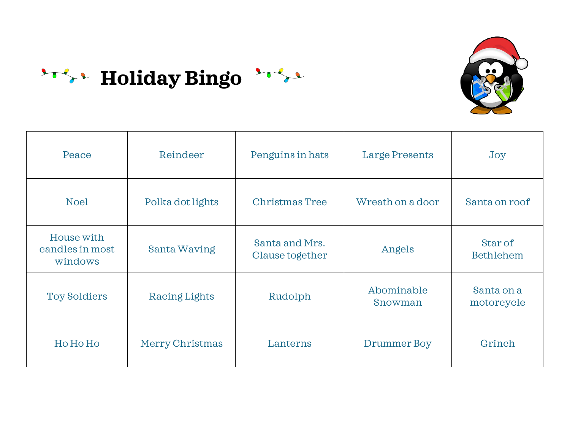

| Peace                                    | Reindeer         | Penguins in hats                  | <b>Large Presents</b> | Joy                         |
|------------------------------------------|------------------|-----------------------------------|-----------------------|-----------------------------|
| <b>Noel</b>                              | Polka dot lights | <b>Christmas Tree</b>             | Wreath on a door      | Santa on roof               |
| House with<br>candles in most<br>windows | Santa Waving     | Santa and Mrs.<br>Clause together | Angels                | Star of<br><b>Bethlehem</b> |
| <b>Toy Soldiers</b>                      | Racing Lights    | Rudolph                           | Abominable<br>Snowman | Santa on a<br>motorcycle    |
| Ho Ho Ho                                 | Merry Christmas  | Lanterns                          | Drummer Boy           | Grinch                      |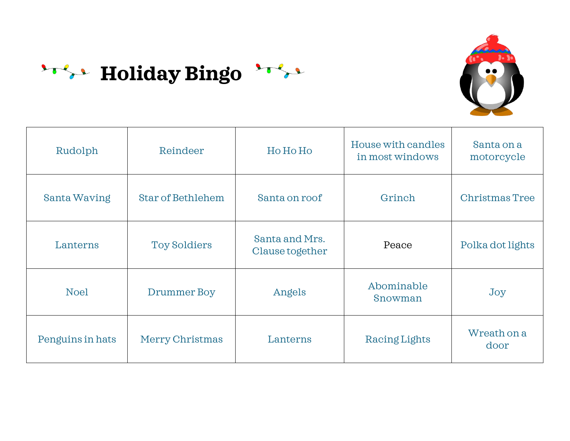

| Rudolph             | Reindeer                 | Ho Ho Ho                          | House with candles<br>in most windows | Santa on a<br>motorcycle |
|---------------------|--------------------------|-----------------------------------|---------------------------------------|--------------------------|
| <b>Santa Waving</b> | <b>Star of Bethlehem</b> | Santa on roof                     | Grinch                                | <b>Christmas Tree</b>    |
| Lanterns            | <b>Toy Soldiers</b>      | Santa and Mrs.<br>Clause together | Peace                                 | Polka dot lights         |
| <b>Noel</b>         | Drummer Boy              | Angels                            | Abominable<br>Snowman                 | Joy                      |
| Penguins in hats    | Merry Christmas          | Lanterns                          | Racing Lights                         | Wreath on a<br>door      |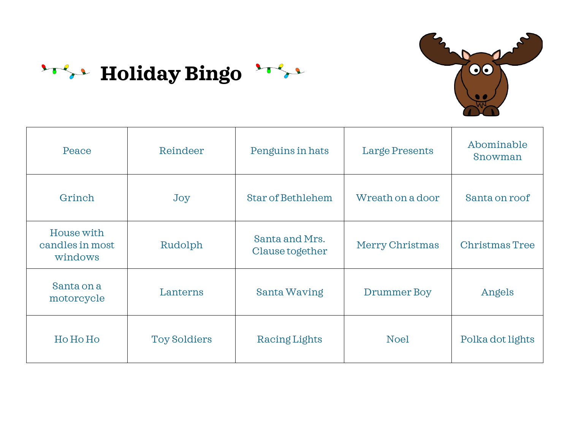

| Peace                                    | Reindeer            | Penguins in hats                  | <b>Large Presents</b> | Abominable<br>Snowman |
|------------------------------------------|---------------------|-----------------------------------|-----------------------|-----------------------|
| Grinch                                   | Joy                 | <b>Star of Bethlehem</b>          | Wreath on a door      | Santa on roof         |
| House with<br>candles in most<br>windows | Rudolph             | Santa and Mrs.<br>Clause together | Merry Christmas       | <b>Christmas Tree</b> |
| Santa on a<br>motorcycle                 | Lanterns            | <b>Santa Waving</b>               | Drummer Boy           | Angels                |
| Ho Ho Ho                                 | <b>Toy Soldiers</b> | Racing Lights                     | <b>Noel</b>           | Polka dot lights      |